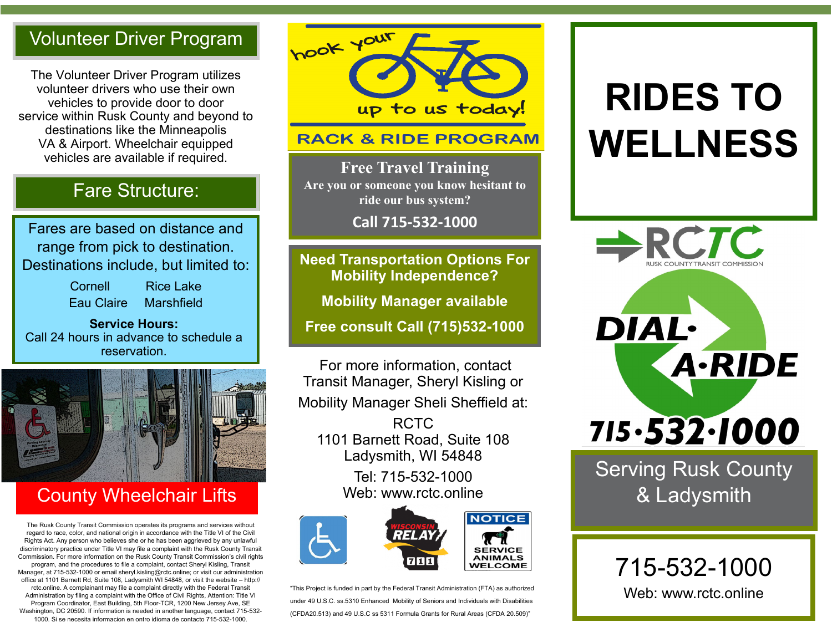# Volunteer Driver Program

The Volunteer Driver Program utilizes volunteer drivers who use their own vehicles to provide door to door service within Rusk County and beyond to destinations like the Minneapolis VA & Airport. Wheelchair equipped vehicles are available if required.

## Fare Structure:

Fares are based on distance and range from pick to destination. Destinations include, but limited to:

Cornell Rice Lake Eau Claire Marshfield

**Service Hours:**  Call 24 hours in advance to schedule a reservation.



# County Wheelchair Lifts

The Rusk County Transit Commission operates its programs and services without regard to race, color, and national origin in accordance with the Title VI of the Civil Rights Act. Any person who believes she or he has been aggrieved by any unlawful discriminatory practice under Title VI may file a complaint with the Rusk County Transit Commission. For more information on the Rusk County Transit Commission's civil rights program, and the procedures to file a complaint, contact Sheryl Kisling, Transit Manager, at 715-532-1000 or email sheryl.kisling@rctc.online; or visit our administration office at 1101 Barnett Rd, Suite 108, Ladysmith WI 54848, or visit the website – http:// rctc.online. A complainant may file a complaint directly with the Federal Transit Administration by filing a complaint with the Office of Civil Rights, Attention: Title VI Program Coordinator, East Building, 5th Floor-TCR, 1200 New Jersey Ave, SE Washington, DC 20590. If information is needed in another language, contact 715-532- 1000. Si se necesita informacion en ontro idioma de contacto 715-532-1000.



#### **RACK & RIDE PROGRAM**

**Free Travel Training Are you or someone you know hesitant to ride our bus system?**

**Call 715-532-1000** 

**Need Transportation Options For Mobility Independence?**

**Mobility Manager available**

**Free consult Call (715)532-1000**

For more information, contact Transit Manager, Sheryl Kisling or Mobility Manager Sheli Sheffield at:

RCTC 1101 Barnett Road, Suite 108 Ladysmith, WI 54848

> Tel: 715-532-1000 Web: www.rctc.online



"This Project is funded in part by the Federal Transit Administration (FTA) as authorized under 49 U.S.C. ss.5310 Enhanced Mobility of Seniors and Individuals with Disabilities (CFDA20.513) and 49 U.S.C ss 5311 Formula Grants for Rural Areas (CFDA 20.509)"

# **RIDES TO WELLNESS**



**Serving Rusk County** & Ladysmith



Web: www.rctc.online